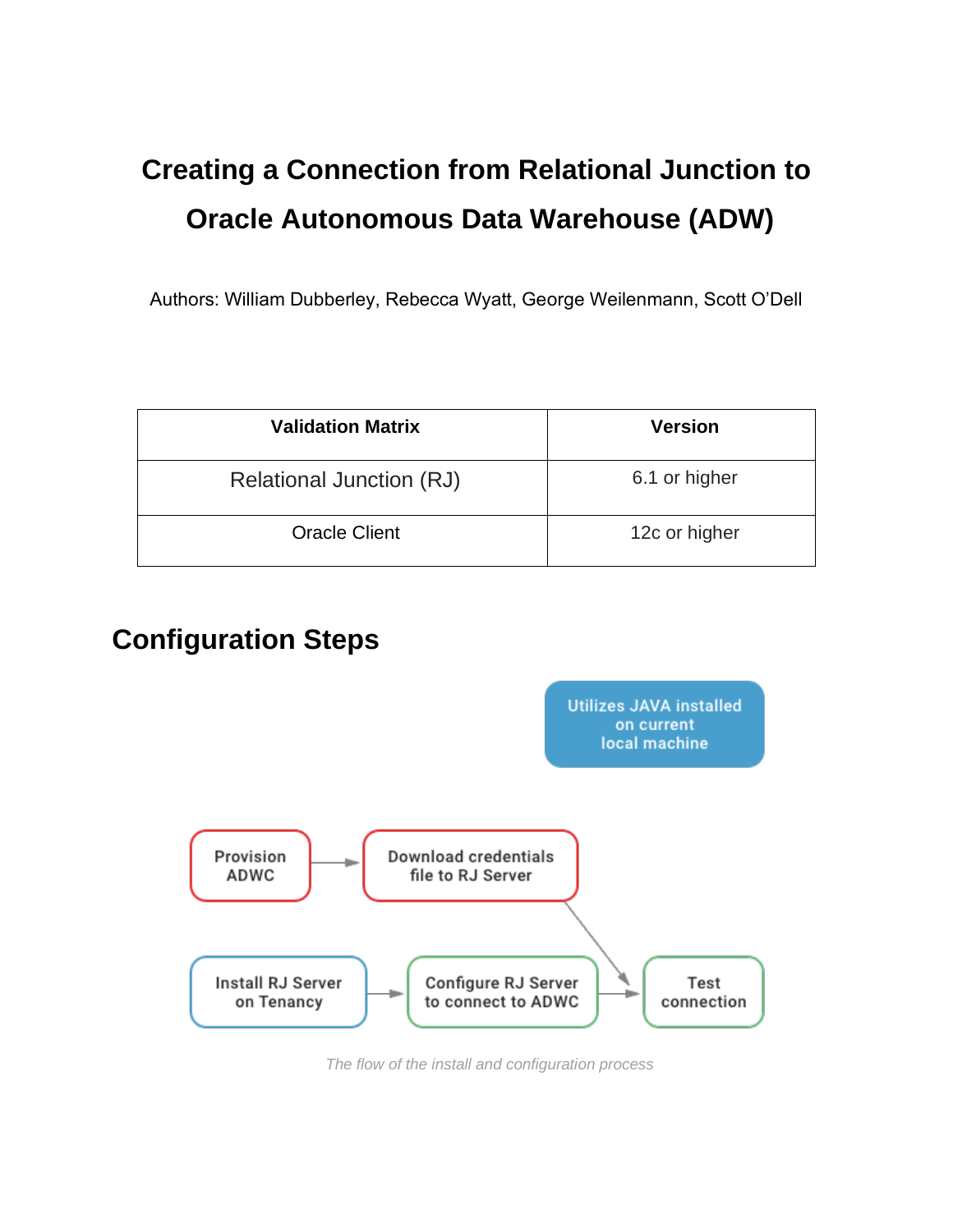# **Creating a Connection from Relational Junction to Oracle Autonomous Data Warehouse (ADW)**

Authors: William Dubberley, Rebecca Wyatt, George Weilenmann, Scott O'Dell

| <b>Validation Matrix</b> | <b>Version</b> |
|--------------------------|----------------|
| Relational Junction (RJ) | 6.1 or higher  |
| <b>Oracle Client</b>     | 12c or higher  |

## **Configuration Steps**



*The flow of the install and configuration process*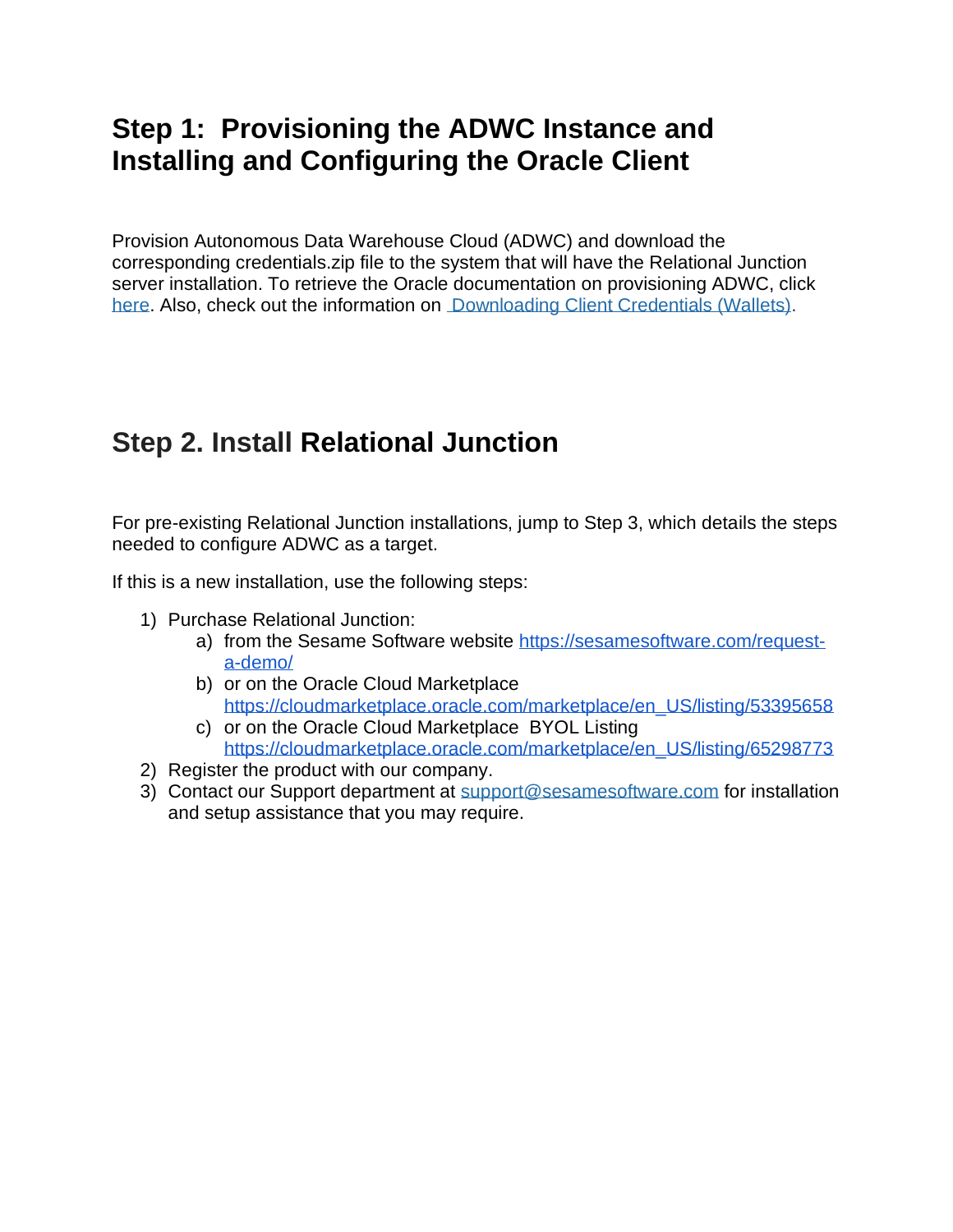#### **Step 1: Provisioning the ADWC Instance and Installing and Configuring the Oracle Client**

 Provision Autonomous Data Warehouse Cloud (ADWC) and download the corresponding credentials.zip file to the system that will have the Relational Junction server installation. To retrieve the Oracle documentation on provisioning ADWC, click [here.](https://docs.oracle.com/en/cloud/paas/autonomous-data-warehouse-cloud/tutorial-getting-started-autonomous-db-adw/index.html) Also, check out the information on [Downloading Client Credentials \(Wallets\).](https://docs.oracle.com/en/cloud/paas/autonomous-data-warehouse-cloud/user/connect-download-wallet.html#GUID-B06202D2-0597-41AA-9481-3B174F75D4B1)

### **Step 2. Install Relational Junction**

 For pre-existing Relational Junction installations, jump to Step 3, which details the steps needed to configure ADWC as a target.

If this is a new installation, use the following steps:

- 1) Purchase Relational Junction:
	- a) from the Sesame Software website [https://sesamesoftware.com/request](https://sesamesoftware.com/request-a-demo/)[a-demo/](https://sesamesoftware.com/request-a-demo/)
	- b) or on the Oracle Cloud Marketplace [https://cloudmarketplace.oracle.com/marketplace/en\\_US/listing/53395658](https://cloudmarketplace.oracle.com/marketplace/en_US/listing/53395658)
	- c) or on the Oracle Cloud Marketplace BYOL Listing [https://cloudmarketplace.oracle.com/marketplace/en\\_US/listing/65298773](https://cloudmarketplace.oracle.com/marketplace/en_US/listing/65298773)
- 2) Register the product with our company.
- 3) Contact our Support department at [support@sesamesoftware.com](mailto:support@sesamesoftware.com) for installation and setup assistance that you may require.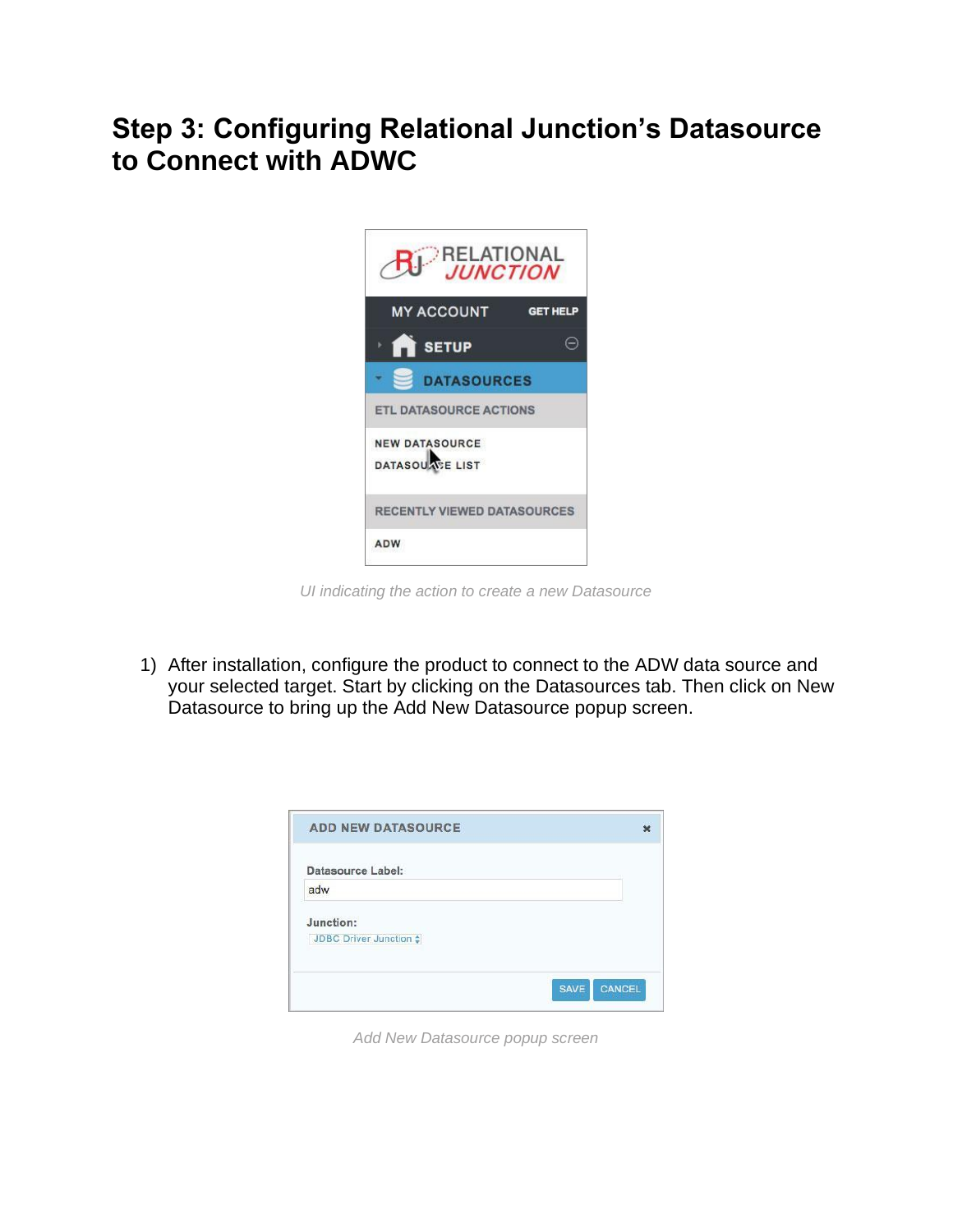#### **Step 3: Configuring Relational Junction's Datasource to Connect with ADWC**



*UI indicating the action to create a new Datasource* 

 1) After installation, configure the product to connect to the ADW data source and your selected target. Start by clicking on the Datasources tab. Then click on New Datasource to bring up the Add New Datasource popup screen.

| <b>ADD NEW DATASOURCE</b> |                              |
|---------------------------|------------------------------|
| Datasource Label:         |                              |
| adw                       |                              |
| Junction:                 |                              |
| JDBC Driver Junction :    |                              |
|                           |                              |
|                           | <b>CANCEL</b><br><b>SAVE</b> |

*Add New Datasource popup screen*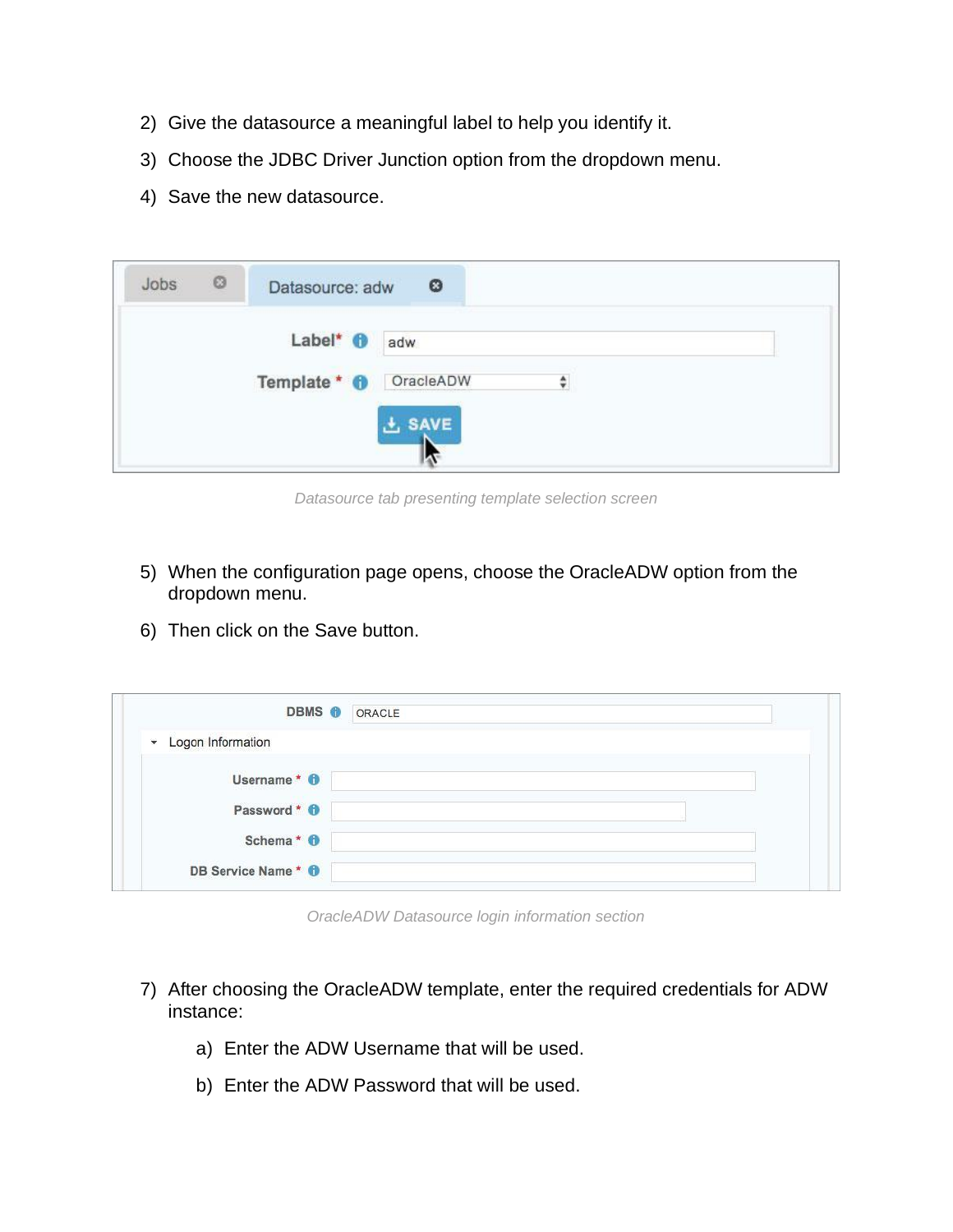- 2) Give the datasource a meaningful label to help you identify it.
- 3) Choose the JDBC Driver Junction option from the dropdown menu.
- 4) Save the new datasource.

| $^{\circ}$<br>Jobs | Datasource: adw                                              | $^{\circ}$ |
|--------------------|--------------------------------------------------------------|------------|
|                    | Label* <sup>O</sup> adw<br>Template * <sup>0</sup> OracleADW | ÷          |
|                    |                                                              | $\pm$ SAVE |

*Datasource tab presenting template selection screen* 

- 5) When the configuration page opens, choose the OracleADW option from the dropdown menu.
- 6) Then click on the Save button.

| <b>DBMS O ORACLE</b>          |  |  |
|-------------------------------|--|--|
| * Logon Information           |  |  |
| Username * 0                  |  |  |
| Password * 0                  |  |  |
| Schema* <sup>O</sup>          |  |  |
| DB Service Name* <sup>0</sup> |  |  |

*OracleADW Datasource login information section* 

- 7) After choosing the OracleADW template, enter the required credentials for ADW instance:
	- a) Enter the ADW Username that will be used.
	- b) Enter the ADW Password that will be used.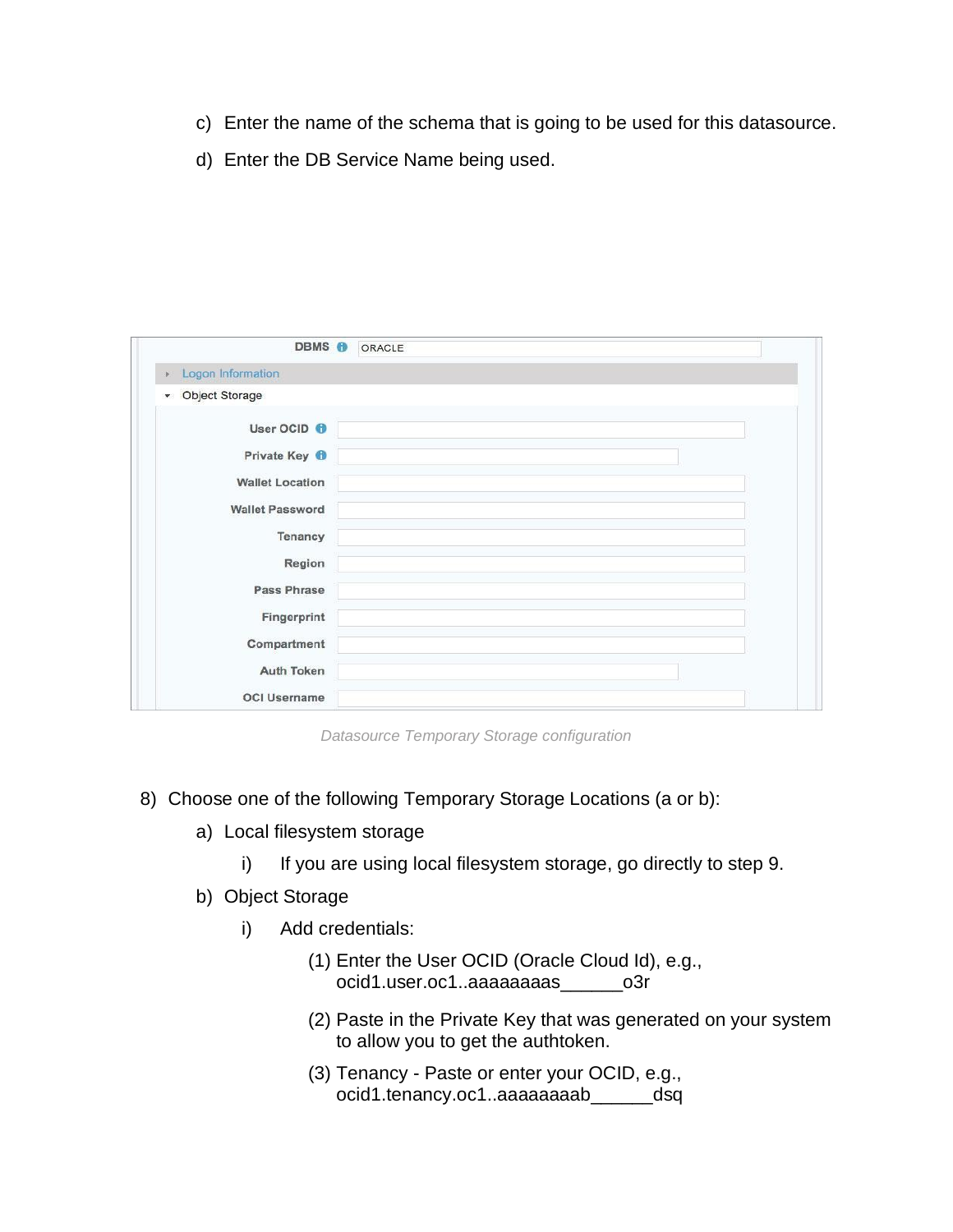- c) Enter the name of the schema that is going to be used for this datasource.
- d) Enter the DB Service Name being used.

| DBMS O                          | ORACLE |
|---------------------------------|--------|
| Logon Information               |        |
| Object Storage<br>$\mathcal{P}$ |        |
| User OCID <sup>O</sup>          |        |
| Private Key <b>f</b>            |        |
| <b>Wallet Location</b>          |        |
| <b>Wallet Password</b>          |        |
| Tenancy                         |        |
| Region                          |        |
| Pass Phrase                     |        |
| Fingerprint                     |        |
| Compartment                     |        |
| <b>Auth Token</b>               |        |
| <b>OCI Username</b>             |        |

*Datasource Temporary Storage configuration* 

- 8) Choose one of the following Temporary Storage Locations (a or b):
	- a) Local filesystem storage
		- i) If you are using local filesystem storage, go directly to step 9.
	- b) Object Storage
		- i) Add credentials:
			- (1) Enter the User OCID (Oracle Cloud Id), e.g., ocid1.user.oc1..aaaaaaaas\_\_\_\_\_\_o3r
			- (2) Paste in the Private Key that was generated on your system to allow you to get the authtoken.
			- (3) Tenancy Paste or enter your OCID, e.g., ocid1.tenancy.oc1..aaaaaaaab\_\_\_\_\_\_dsq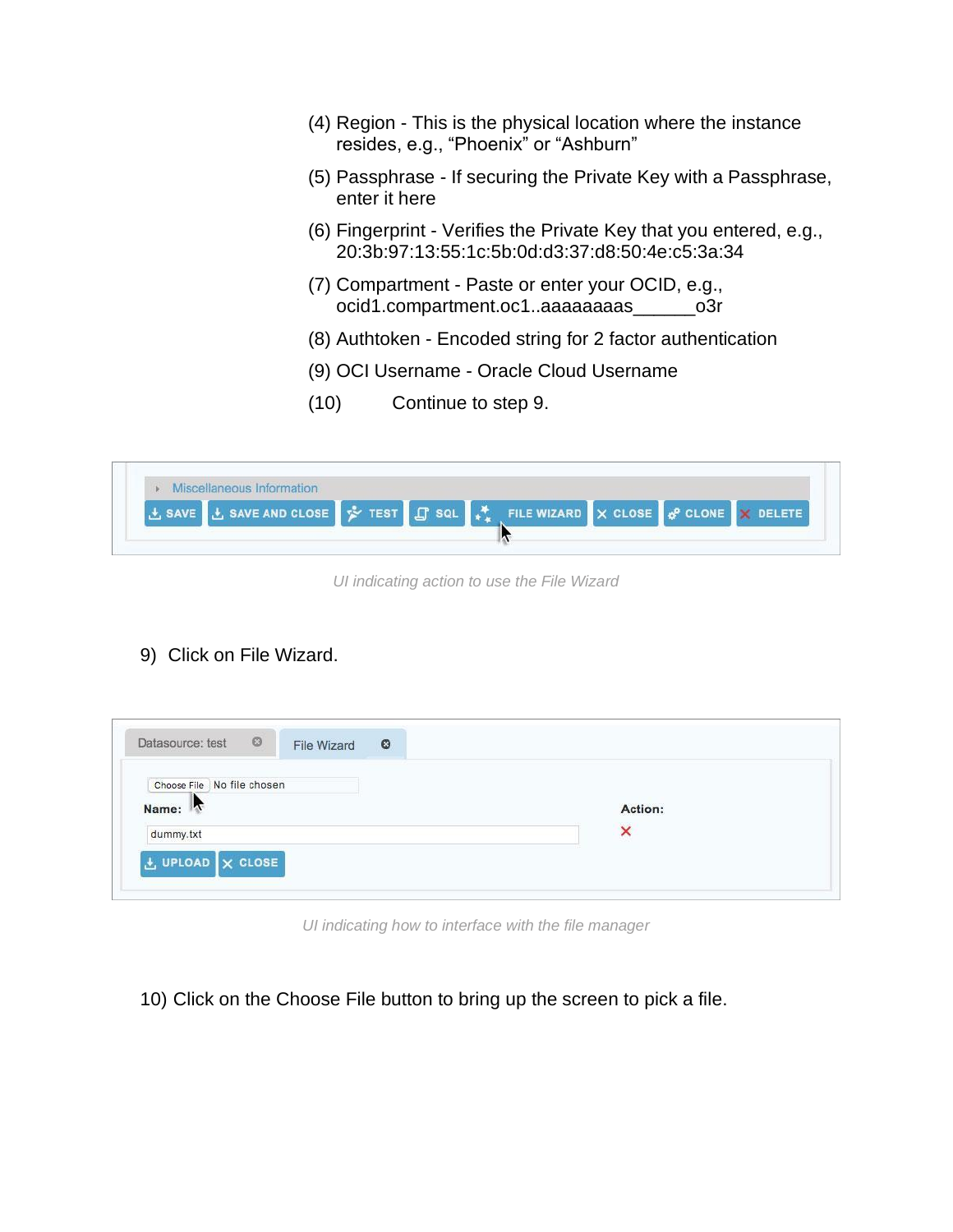- (4) Region This is the physical location where the instance resides, e.g., "Phoenix" or "Ashburn"
- (5) Passphrase If securing the Private Key with a Passphrase, enter it here
- (6) Fingerprint Verifies the Private Key that you entered, e.g., 20:3b:97:13:55:1c:5b:0d:d3:37:d8:50:4e:c5:3a:34
- (7) Compartment Paste or enter your OCID, e.g., ocid1.compartment.oc1..aaaaaaaas\_\_\_\_\_\_o3r
- (8) Authtoken Encoded string for 2 factor authentication
- (9) OCI Username Oracle Cloud Username
- (10) Continue to step 9.

|  |  | 上 SAVE <b>上 SAVE AND CLOSE A</b> TEST <b>日</b> SQL <b>A</b> | FILE WIZARD $\overline{X}$ CLOSE $\overline{\phi}^0$ CLONE $\overline{X}$ DELETE |
|--|--|-------------------------------------------------------------|----------------------------------------------------------------------------------|

*UI indicating action to use the File Wizard* 

9) Click on File Wizard.

| Datasource: test ©<br>File Wizard   | $\bullet$ |         |
|-------------------------------------|-----------|---------|
| Choose File No file chosen<br>Name: |           | Action: |
| dummy.txt                           |           | ×       |
| $t$ UPLOAD $\times$ CLOSE           |           |         |

*UI indicating how to interface with the file manager* 

10) Click on the Choose File button to bring up the screen to pick a file.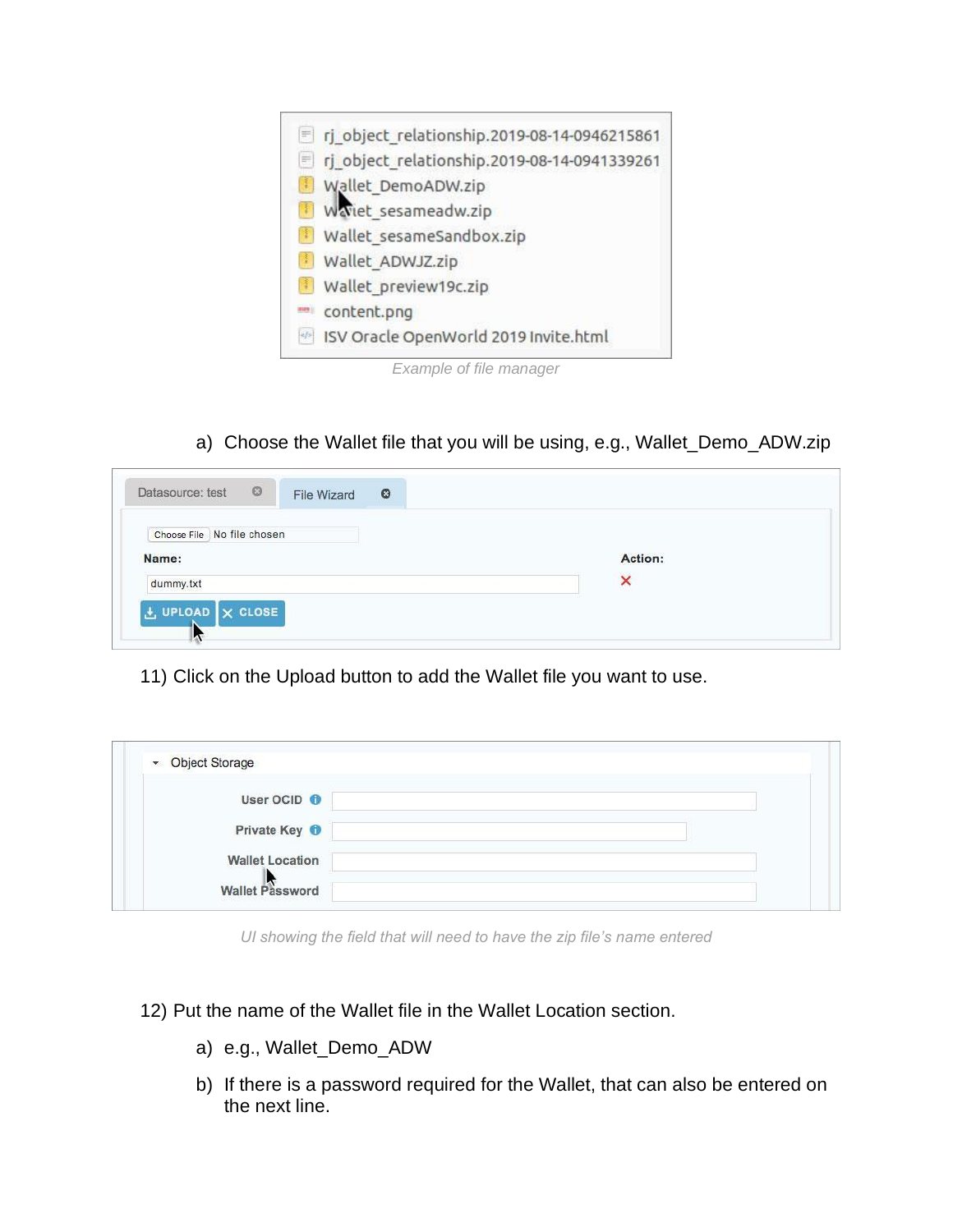

*Example of file manager* 

a) Choose the Wallet file that you will be using, e.g., Wallet\_Demo\_ADW.zip

| Datasource: test ©<br>File Wizard     | $\circ$ |         |  |
|---------------------------------------|---------|---------|--|
| Choose File   No file chosen<br>Name: |         | Action: |  |
| dummy.txt                             |         | ×       |  |
| LUPLOAD X CLOSE<br>W                  |         |         |  |

11) Click on the Upload button to add the Wallet file you want to use.

| • Object Storage         |  |
|--------------------------|--|
| User OCID <b>O</b>       |  |
| Private Key <sup>O</sup> |  |
| <b>Wallet Location</b>   |  |
| Wallet Password          |  |

*UI showing the field that will need to have the zip file's name entered*

12) Put the name of the Wallet file in the Wallet Location section.

- a) e.g., Wallet\_Demo\_ADW
- b) If there is a password required for the Wallet, that can also be entered on the next line.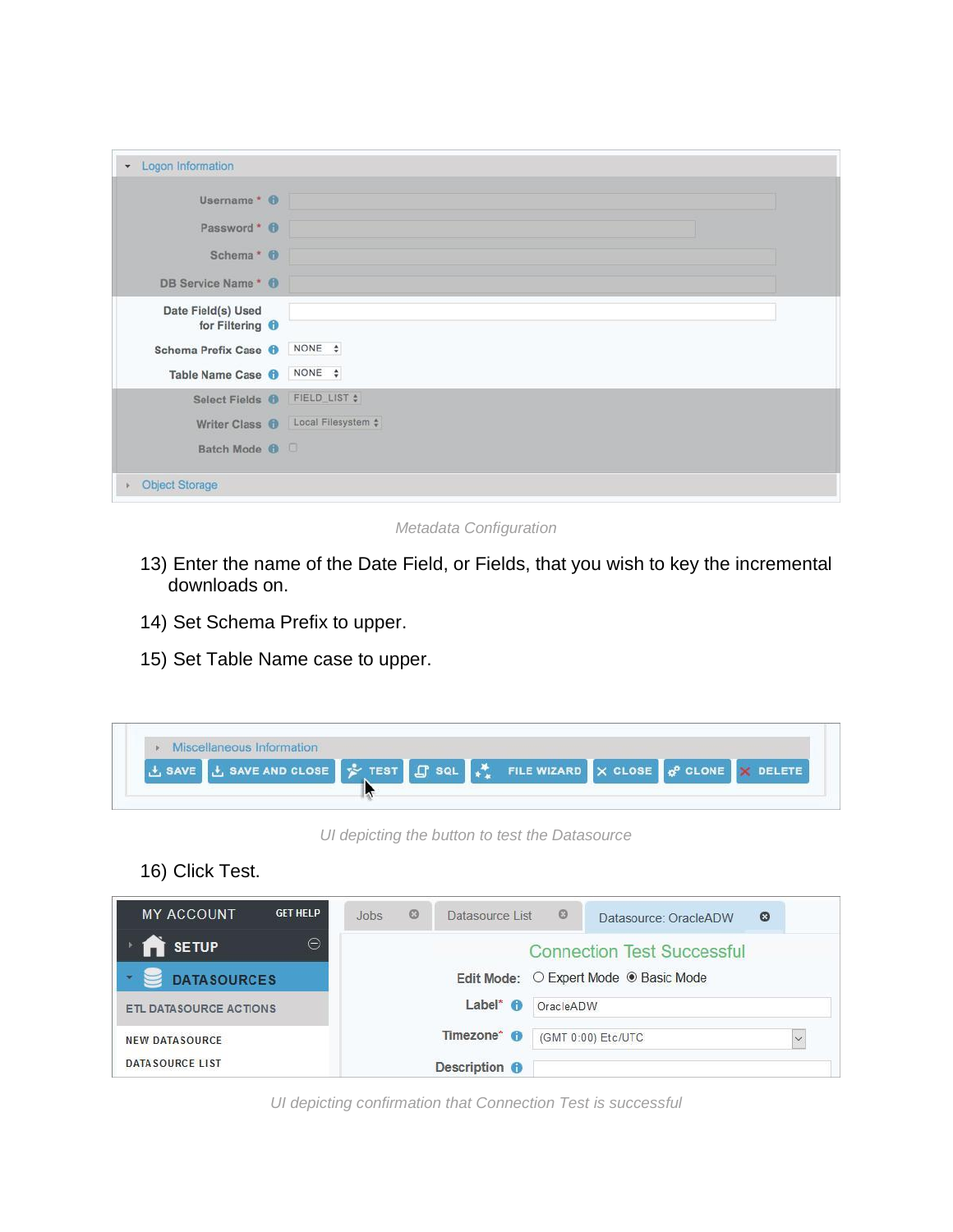| Username * 0                                 |                         |
|----------------------------------------------|-------------------------|
| Password * 0                                 |                         |
| Schema <sup>*</sup> 0                        |                         |
| DB Service Name* <sup>0</sup>                |                         |
| Date Field(s) Used<br>for Filtering <b>O</b> |                         |
| Schema Prefix Case <sup>O</sup>              | NONE \$                 |
| Table Name Case <b>O</b>                     | NONE \$                 |
| Select Fields <b>O</b>                       | FIELD_LIST \$           |
| Writer Class <b>O</b>                        | Local Filesystem $\div$ |
| Batch Mode <sup>O</sup>                      |                         |

*Metadata Configuration* 

- 13) Enter the name of the Date Field, or Fields, that you wish to key the incremental downloads on.
- 14) Set Schema Prefix to upper.
- 15) Set Table Name case to upper.

| Miscellaneous Information                                                                                |  |  |  |  |
|----------------------------------------------------------------------------------------------------------|--|--|--|--|
| 土 SAVE <b>土 SAVE AND CLOSE A</b> TEST <b>LE</b> SQL <b>A</b> FILE WIZARD X CLOSE <b>A</b> CLONE X DELETE |  |  |  |  |
|                                                                                                          |  |  |  |  |

 *UI depicting the button to test the Datasource* 

16) Click Test.

| <b>GET HELP</b><br><b>MY ACCOUNT</b> | $\odot$<br>Jobs          | Datasource List © | $\circ$<br>Datasource: OracleADW      |  |
|--------------------------------------|--------------------------|-------------------|---------------------------------------|--|
| Θ<br><b>R</b> SETUP                  |                          |                   | <b>Connection Test Successful</b>     |  |
| <b>DATASOURCES</b>                   |                          |                   | Edit Mode: O Expert Mode ® Basic Mode |  |
| <b>ETL DATASOURCE ACTIONS</b>        | Label* $\theta$          | OracleADW         |                                       |  |
| <b>NEW DATA SOURCE</b>               | Timezone* <sup>6</sup>   |                   | (GMT 0:00) Etc/UTC<br>$\checkmark$    |  |
| <b>DATA SOURCE LIST</b>              | Description <sup>6</sup> |                   |                                       |  |

*UI depicting confirmation that Connection Test is successful*